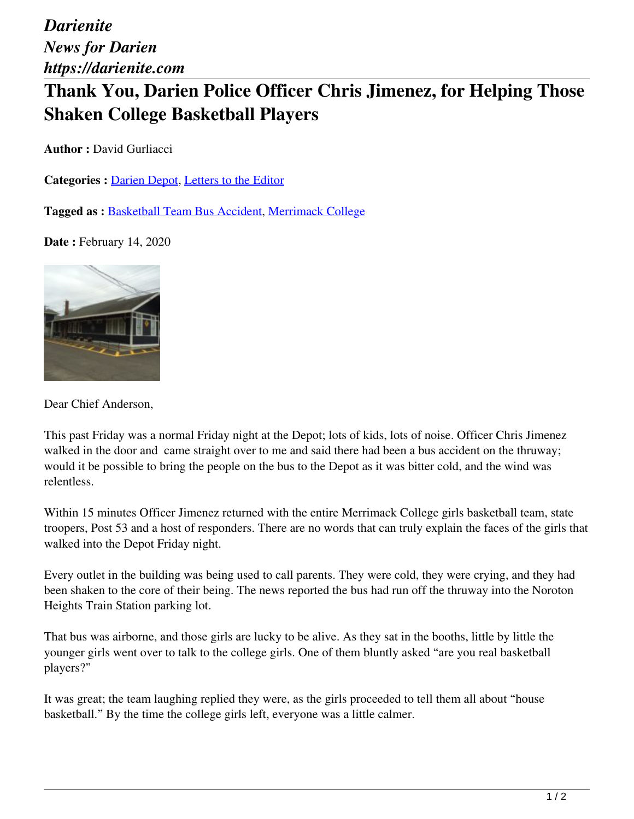*Darienite News for Darien https://darienite.com*

## **Thank You, Darien Police Officer Chris Jimenez, for Helping Those Shaken College Basketball Players**

**Author :** David Gurliacci

Categories : [Darien Depot](https://darienite.com/category/parents-kids/darien-depot), Letters to the Editor

**Tagged as :** Basketball Team Bus Accident, Merrimack College

**Date :** February 14, 2020



Dear Chief Anderson,

This past Friday was a normal Friday night at the Depot; lots of kids, lots of noise. Officer Chris Jimenez walked in the door and came straight over to me and said there had been a bus accident on the thruway; would it be possible to bring the people on the bus to the Depot as it was bitter cold, and the wind was relentless.

Within 15 minutes Officer Jimenez returned with the entire Merrimack College girls basketball team, state troopers, Post 53 and a host of responders. There are no words that can truly explain the faces of the girls that walked into the Depot Friday night.

Every outlet in the building was being used to call parents. They were cold, they were crying, and they had been shaken to the core of their being. The news reported the bus had run off the thruway into the Noroton Heights Train Station parking lot.

That bus was airborne, and those girls are lucky to be alive. As they sat in the booths, little by little the younger girls went over to talk to the college girls. One of them bluntly asked "are you real basketball players?"

It was great; the team laughing replied they were, as the girls proceeded to tell them all about "house basketball." By the time the college girls left, everyone was a little calmer.